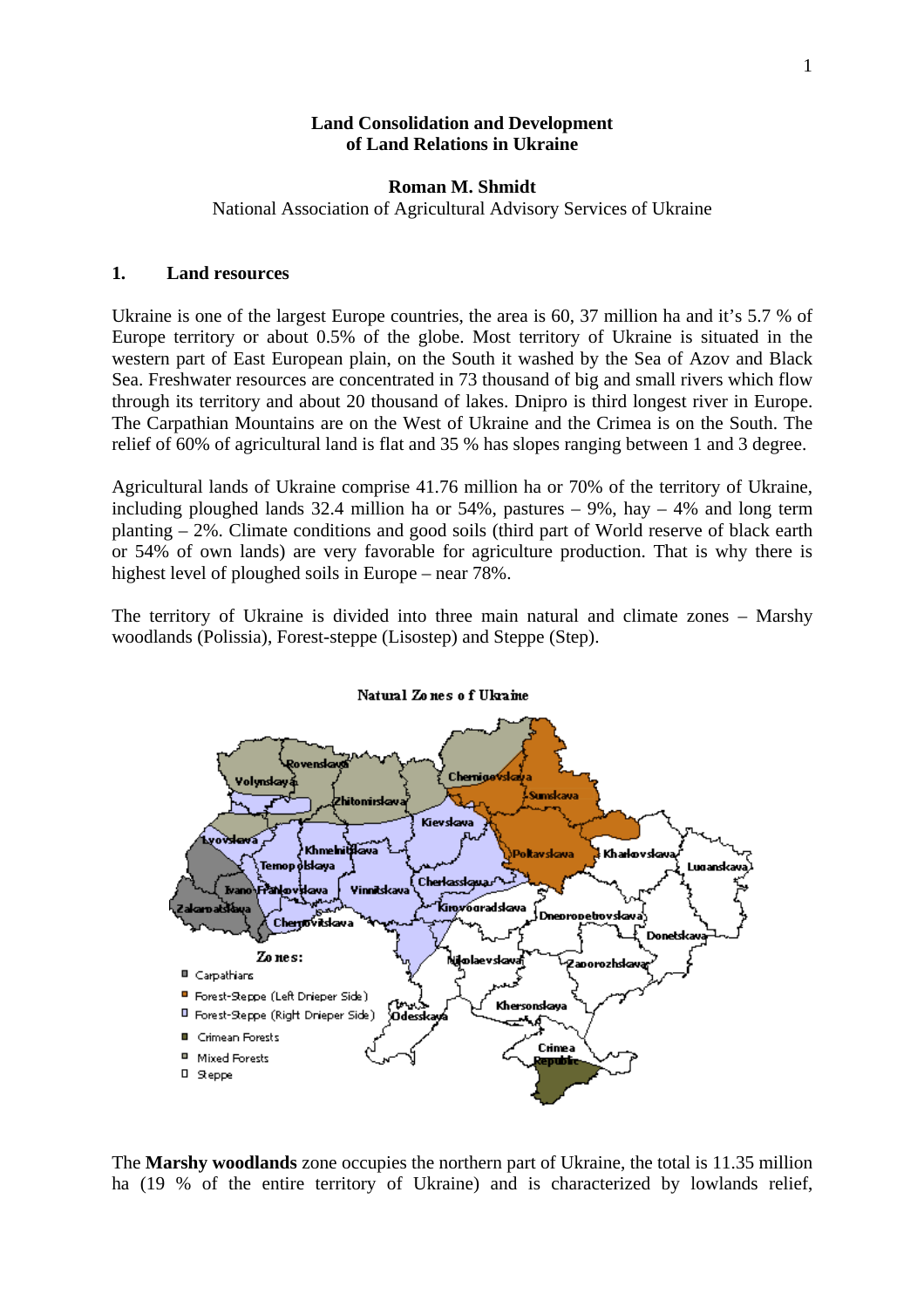### **Land Consolidation and Development of Land Relations in Ukraine**

### **Roman M. Shmidt**

National Association of Agricultural Advisory Services of Ukraine

### **1. Land resources**

Ukraine is one of the largest Europe countries, the area is 60, 37 million ha and it's 5.7 % of Europe territory or about 0.5% of the globe. Most territory of Ukraine is situated in the western part of East European plain, on the South it washed by the Sea of Azov and Black Sea. Freshwater resources are concentrated in 73 thousand of big and small rivers which flow through its territory and about 20 thousand of lakes. Dnipro is third longest river in Europe. The Carpathian Mountains are on the West of Ukraine and the Crimea is on the South. The relief of 60% of agricultural land is flat and 35 % has slopes ranging between 1 and 3 degree.

Agricultural lands of Ukraine comprise 41.76 million ha or 70% of the territory of Ukraine, including ploughed lands 32.4 million ha or  $54\%$ , pastures  $-9\%$ , hay  $-4\%$  and long term planting – 2%. Climate conditions and good soils (third part of World reserve of black earth or 54% of own lands) are very favorable for agriculture production. That is why there is highest level of ploughed soils in Europe – near 78%.

The territory of Ukraine is divided into three main natural and climate zones – Marshy woodlands (Polissia), Forest-steppe (Lisostep) and Steppe (Step).



The **Marshy woodlands** zone occupies the northern part of Ukraine, the total is 11.35 million ha (19 % of the entire territory of Ukraine) and is characterized by lowlands relief,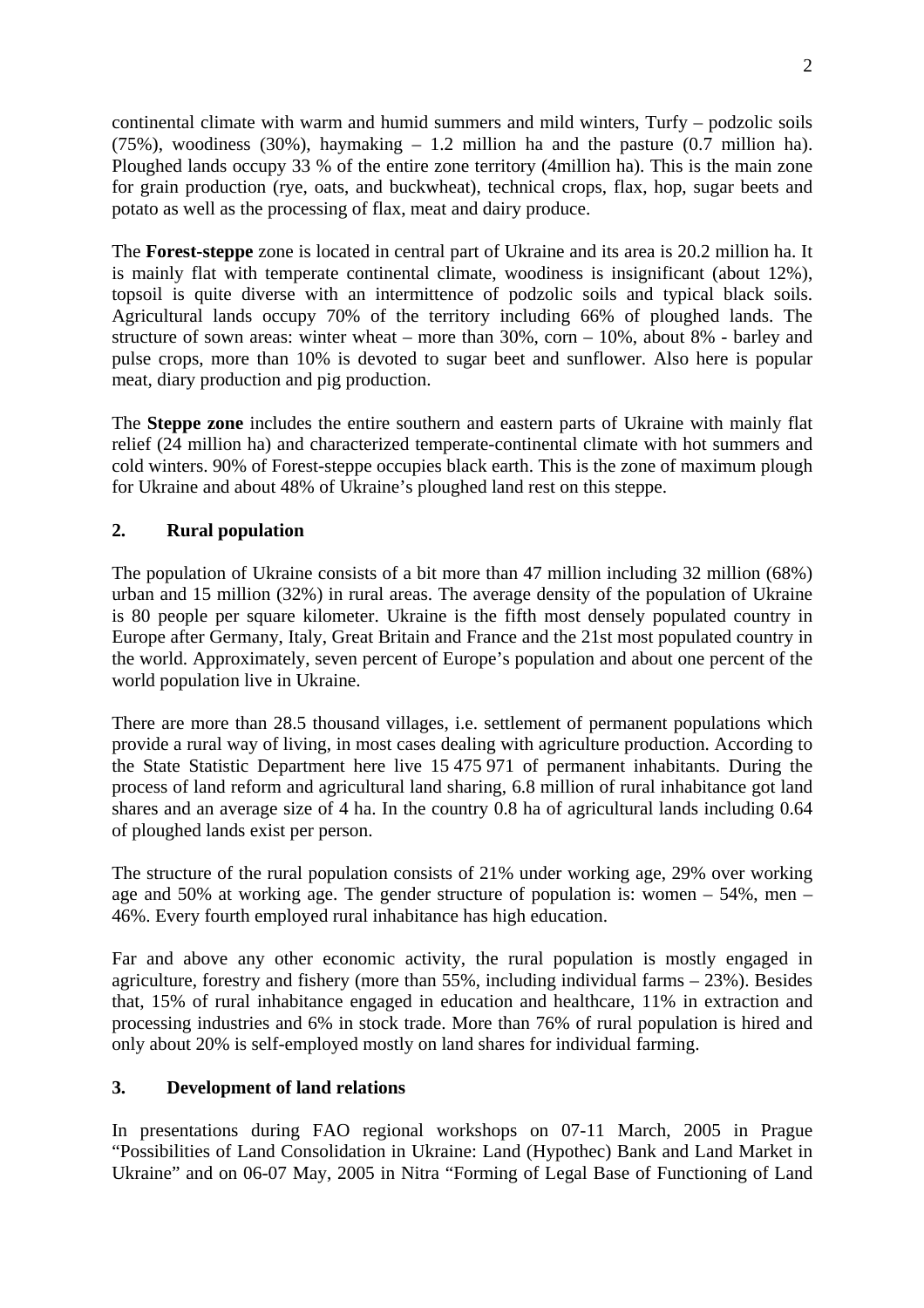continental climate with warm and humid summers and mild winters, Turfy – podzolic soils (75%), woodiness (30%), haymaking – 1.2 million ha and the pasture (0.7 million ha). Ploughed lands occupy 33 % of the entire zone territory (4million ha). This is the main zone for grain production (rye, oats, and buckwheat), technical crops, flax, hop, sugar beets and potato as well as the processing of flax, meat and dairy produce.

The **Forest-steppe** zone is located in central part of Ukraine and its area is 20.2 million ha. It is mainly flat with temperate continental climate, woodiness is insignificant (about 12%), topsoil is quite diverse with an intermittence of podzolic soils and typical black soils. Agricultural lands occupy 70% of the territory including 66% of ploughed lands. The structure of sown areas: winter wheat – more than 30%, corn – 10%, about 8% - barley and pulse crops, more than 10% is devoted to sugar beet and sunflower. Also here is popular meat, diary production and pig production.

The **Steppe zone** includes the entire southern and eastern parts of Ukraine with mainly flat relief (24 million ha) and characterized temperate-continental climate with hot summers and cold winters. 90% of Forest-steppe occupies black earth. This is the zone of maximum plough for Ukraine and about 48% of Ukraine's ploughed land rest on this steppe.

# **2. Rural population**

The population of Ukraine consists of a bit more than 47 million including 32 million (68%) urban and 15 million (32%) in rural areas. The average density of the population of Ukraine is 80 people per square kilometer. Ukraine is the fifth most densely populated country in Europe after Germany, Italy, Great Britain and France and the 21st most populated country in the world. Approximately, seven percent of Europe's population and about one percent of the world population live in Ukraine.

There are more than 28.5 thousand villages, i.e. settlement of permanent populations which provide a rural way of living, in most cases dealing with agriculture production. According to the State Statistic Department here live 15 475 971 of permanent inhabitants. During the process of land reform and agricultural land sharing, 6.8 million of rural inhabitance got land shares and an average size of 4 ha. In the country 0.8 ha of agricultural lands including 0.64 of ploughed lands exist per person.

The structure of the rural population consists of 21% under working age, 29% over working age and 50% at working age. The gender structure of population is: women – 54%, men – 46%. Every fourth employed rural inhabitance has high education.

Far and above any other economic activity, the rural population is mostly engaged in agriculture, forestry and fishery (more than  $55\%$ , including individual farms  $-23\%$ ). Besides that, 15% of rural inhabitance engaged in education and healthcare, 11% in extraction and processing industries and 6% in stock trade. More than 76% of rural population is hired and only about 20% is self-employed mostly on land shares for individual farming.

# **3. Development of land relations**

In presentations during FAO regional workshops on 07-11 March, 2005 in Prague "Possibilities of Land Consolidation in Ukraine: Land (Hypothec) Bank and Land Market in Ukraine" and on 06-07 May, 2005 in Nitra "Forming of Legal Base of Functioning of Land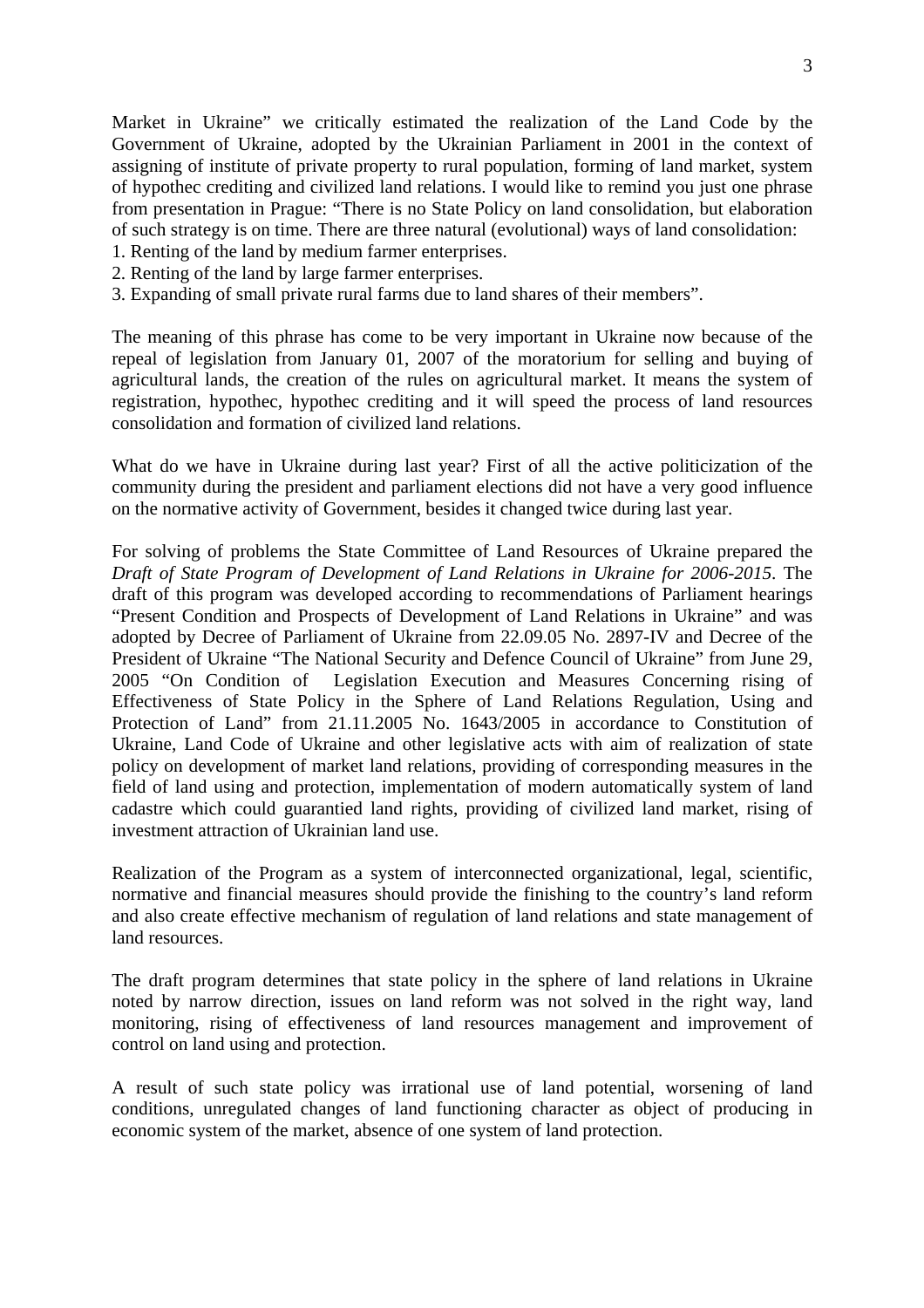Market in Ukraine" we critically estimated the realization of the Land Code by the Government of Ukraine, adopted by the Ukrainian Parliament in 2001 in the context of assigning of institute of private property to rural population, forming of land market, system of hypothec crediting and civilized land relations. I would like to remind you just one phrase from presentation in Prague: "There is no State Policy on land consolidation, but elaboration of such strategy is on time. There are three natural (evolutional) ways of land consolidation:

- 1. Renting of the land by medium farmer enterprises.
- 2. Renting of the land by large farmer enterprises.
- 3. Expanding of small private rural farms due to land shares of their members".

The meaning of this phrase has come to be very important in Ukraine now because of the repeal of legislation from January 01, 2007 of the moratorium for selling and buying of agricultural lands, the creation of the rules on agricultural market. It means the system of registration, hypothec, hypothec crediting and it will speed the process of land resources consolidation and formation of civilized land relations.

What do we have in Ukraine during last year? First of all the active politicization of the community during the president and parliament elections did not have a very good influence on the normative activity of Government, besides it changed twice during last year.

For solving of problems the State Committee of Land Resources of Ukraine prepared the *Draft of State Program of Development of Land Relations in Ukraine for 2006-2015*. The draft of this program was developed according to recommendations of Parliament hearings "Present Condition and Prospects of Development of Land Relations in Ukraine" and was adopted by Decree of Parliament of Ukraine from 22.09.05 No. 2897-IV and Decree of the President of Ukraine "The National Security and Defence Council of Ukraine" from June 29, 2005 "On Condition of Legislation Execution and Measures Concerning rising of Effectiveness of State Policy in the Sphere of Land Relations Regulation, Using and Protection of Land" from 21.11.2005 No. 1643/2005 in accordance to Constitution of Ukraine, Land Code of Ukraine and other legislative acts with aim of realization of state policy on development of market land relations, providing of corresponding measures in the field of land using and protection, implementation of modern automatically system of land cadastre which could guarantied land rights, providing of civilized land market, rising of investment attraction of Ukrainian land use.

Realization of the Program as a system of interconnected organizational, legal, scientific, normative and financial measures should provide the finishing to the country's land reform and also create effective mechanism of regulation of land relations and state management of land resources.

The draft program determines that state policy in the sphere of land relations in Ukraine noted by narrow direction, issues on land reform was not solved in the right way, land monitoring, rising of effectiveness of land resources management and improvement of control on land using and protection.

A result of such state policy was irrational use of land potential, worsening of land conditions, unregulated changes of land functioning character as object of producing in economic system of the market, absence of one system of land protection.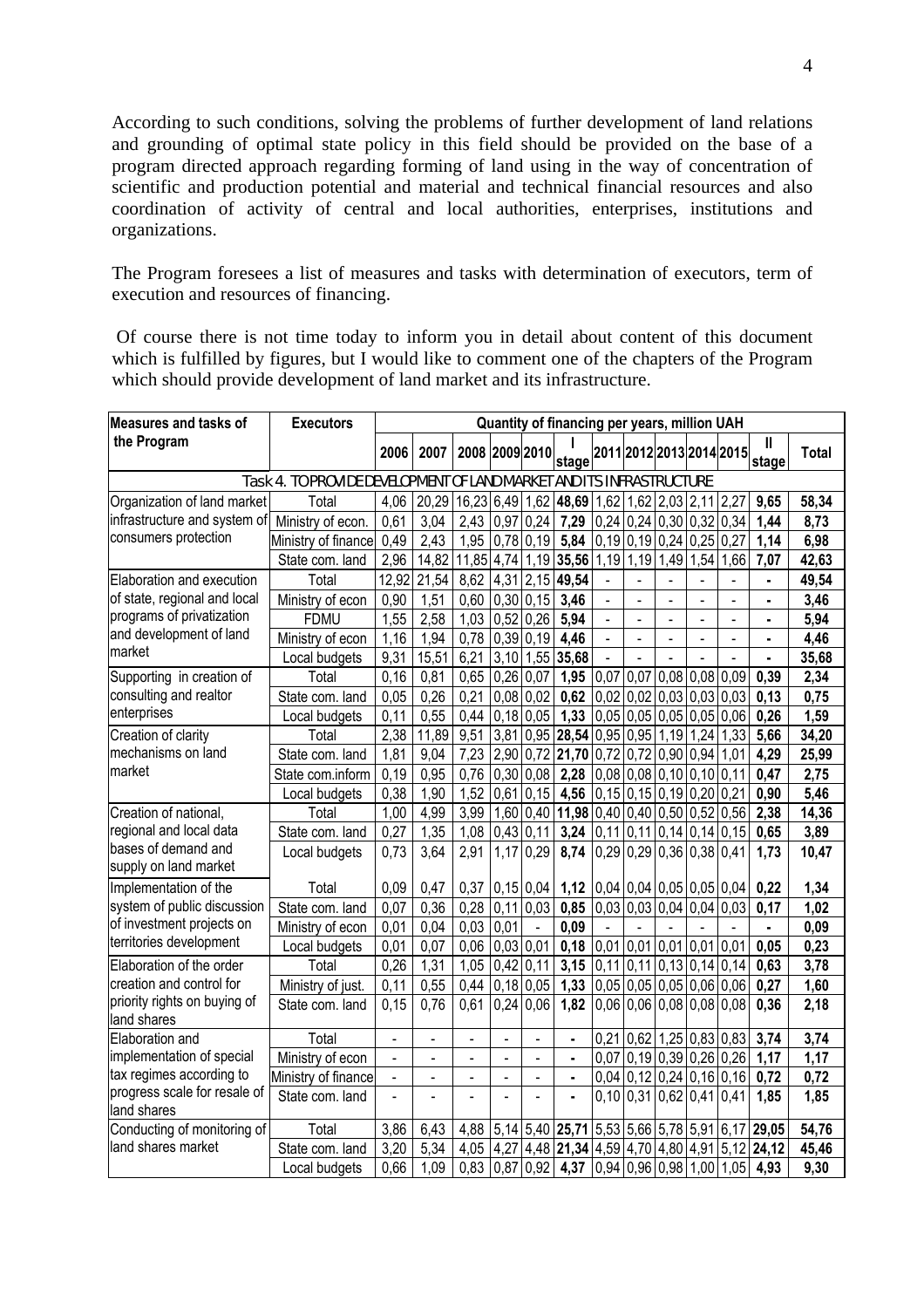According to such conditions, solving the problems of further development of land relations and grounding of optimal state policy in this field should be provided on the base of a program directed approach regarding forming of land using in the way of concentration of scientific and production potential and material and technical financial resources and also coordination of activity of central and local authorities, enterprises, institutions and organizations.

The Program foresees a list of measures and tasks with determination of executors, term of execution and resources of financing.

 Of course there is not time today to inform you in detail about content of this document which is fulfilled by figures, but I would like to comment one of the chapters of the Program which should provide development of land market and its infrastructure.

| Measures and tasks of                                                                               | <b>Executors</b>    | Quantity of financing per years, million UAH |                                                      |                |                       |                |                                                  |             |                                    |                  |             |                            |                |       |
|-----------------------------------------------------------------------------------------------------|---------------------|----------------------------------------------|------------------------------------------------------|----------------|-----------------------|----------------|--------------------------------------------------|-------------|------------------------------------|------------------|-------------|----------------------------|----------------|-------|
| the Program                                                                                         |                     | 2006                                         | 2007                                                 | 2008 2009 2010 |                       |                | stage                                            |             |                                    |                  |             | 2011 2012 2013 2014 2015   | stage          | Total |
| Task 4. TO PROVIDE DEVELOPMENT OF LAND MARKET AND ITS INFRASTRUCTURE                                |                     |                                              |                                                      |                |                       |                |                                                  |             |                                    |                  |             |                            |                |       |
| Organization of land market                                                                         | Total               | 4,06                                         | 20,29 16,23 6,49 1,62 48,69 1,62 1,62 2,03 2,11 2,27 |                |                       |                |                                                  |             |                                    |                  |             |                            | 9,65           | 58,34 |
| infrastructure and system of                                                                        | Ministry of econ.   | 0,61                                         | 3,04                                                 | 2,43           | 0.97 0.24             |                | 7,29                                             |             | $0,24$ 0.24 0.30 0.32              |                  |             | 0.34                       | 1,44           | 8,73  |
| consumers protection                                                                                | Ministry of finance | 0,49                                         | 2,43                                                 | 1.95           | $0,78$ 0,19           |                | 5,84                                             |             | $0,19$ 0,19 0,24                   |                  | $0,25$ 0,27 |                            | 1,14           | 6,98  |
|                                                                                                     | State com. land     | 2,96                                         | 14,82                                                | 11,85 4,74     |                       |                | 1,19 35,56                                       |             | $1,19$ 1,19                        |                  | $1,49$ 1,54 | 1,66                       | 7,07           | 42,63 |
| Elaboration and execution                                                                           | Total               | 12,92                                        | 21,54                                                | 8,62           | 4,31                  | 2,15           | 49,54                                            |             |                                    |                  |             |                            | $\blacksquare$ | 49,54 |
| of state, regional and local                                                                        | Ministry of econ    | 0,90                                         | 1,51                                                 | 0.60           | 0,30                  | 0,15           | 3,46                                             |             |                                    |                  |             |                            |                | 3,46  |
| programs of privatization                                                                           | <b>FDMU</b>         | 1,55                                         | 2,58                                                 | 1,03           | 0,52                  | 0.26           | 5,94                                             |             |                                    | $\overline{a}$   |             |                            |                | 5,94  |
| and development of land                                                                             | Ministry of econ    | 1,16                                         | 1,94                                                 | 0,78           | $0,39$ 0,19           |                | 4,46                                             |             |                                    | $\overline{a}$   |             | ÷,                         |                | 4,46  |
| market                                                                                              | Local budgets       | 9,31                                         | 15,51                                                | 6,21           |                       | $3,10$ 1,55    | 35,68                                            |             |                                    |                  |             |                            |                | 35,68 |
| Supporting in creation of                                                                           | Total               | 0,16                                         | 0,81                                                 | 0,65           | $0,26$ 0.07           |                | 1,95                                             | 0,07        | 0,07                               | $0.08$ 0.08 0.09 |             |                            | 0,39           | 2,34  |
| consulting and realtor                                                                              | State com. land     | 0,05                                         | 0,26                                                 | 0,21           | $0,08$ 0.02           |                | 0,62                                             | $0,02$ 0.02 |                                    | 0,03 0,03 0,03   |             |                            | 0,13           | 0,75  |
| enterprises                                                                                         | Local budgets       | 0,11                                         | 0,55                                                 | 0,44           | $0,18$ 0.05           |                | 1,33                                             |             | $0,05$ 0.05 0.05 0.05 0.06         |                  |             |                            | 0,26           | 1,59  |
| Creation of clarity                                                                                 | Total               | 2,38                                         | 11,89                                                | 9,51           |                       | 3,81 0,95      | 28,54 0,95 0,95                                  |             |                                    | 1,19             | 1,24        | 1,33                       | 5,66           | 34,20 |
| mechanisms on land                                                                                  | State com. land     | 1,81                                         | 9,04                                                 | 7,23           |                       | 2,90 0,72      | $21,70$   0,72   0,72   0,90   0,94              |             |                                    |                  |             | 1,01                       | 4,29           | 25,99 |
| market                                                                                              | State com.inform    | 0,19                                         | 0.95                                                 | 0,76           | 0.30   0.08           |                | 2,28                                             |             | $0.08$ 0.08 0.10 0.10 0.11         |                  |             |                            | 0,47           | 2,75  |
|                                                                                                     | Local budgets       | 0,38                                         | 1,90                                                 | 1,52           | $0,61$ 0,15           |                | 4,56                                             |             | $0,15$ 0,15 0,19 0,20 0,21         |                  |             |                            | 0,90           | 5,46  |
| Creation of national,                                                                               | Total               | 1,00                                         | 4,99                                                 | 3,99           |                       |                | $(1,60)$ 0,40 $(11,98)$ 0,40 0,40 0,50 0,52 0,56 |             |                                    |                  |             |                            | 2,38           | 14,36 |
| regional and local data                                                                             | State com. land     | 0,27                                         | 1,35                                                 | 1,08           | $0,43$ 0,11           |                | 3,24                                             |             | $0,11$ 0,11 0,14 0,14 0,15         |                  |             |                            | 0,65           | 3,89  |
| bases of demand and                                                                                 | Local budgets       | 0,73                                         | 3,64                                                 | 2,91           | $1,17$ 0.29           |                | 8,74                                             |             | $0,29$ 0,29 0,36 0,38 0,41         |                  |             |                            | 1,73           | 10,47 |
| supply on land market                                                                               |                     |                                              |                                                      |                |                       |                |                                                  |             |                                    |                  |             |                            |                |       |
| Implementation of the                                                                               | Total               | 0,09                                         | 0,47                                                 | 0,37           | 0,15 0,04             |                | 1,12                                             |             | $0,04$   0,04   0,05   0,05   0,04 |                  |             |                            | 0,22           | 1,34  |
| system of public discussion                                                                         | State com. land     | 0,07                                         | 0,36                                                 | 0,28           | 0,11 0,03             |                | 0,85                                             |             | $0,03$ 0,03 0,04 0,04 0,03         |                  |             |                            | 0,17           | 1,02  |
| of investment projects on                                                                           | Ministry of econ    | 0,01                                         | 0,04                                                 | 0,03           | 0,01                  | $\blacksquare$ | 0,09                                             |             |                                    |                  |             |                            | $\blacksquare$ | 0,09  |
| territories development                                                                             | Local budgets       | 0.01                                         | 0.07                                                 | 0.06           | 0,03 0,01             |                | 0,18                                             |             | $0,01$ 0,01 0,01 0,01 0,01         |                  |             |                            | 0.05           | 0,23  |
| Elaboration of the order<br>creation and control for<br>priority rights on buying of<br>land shares | Total               | 0,26                                         | 1,31                                                 | 1,05           | $0,42$ 0,11           |                | 3,15                                             |             | $0,11$ 0,11 0,13 0,14 0,14         |                  |             |                            | 0,63           | 3,78  |
|                                                                                                     | Ministry of just.   | 0,11                                         | 0,55                                                 | 0,44           | $0,18$ 0.05           |                | 1,33                                             |             | $0,05$ 0.05 0.05 0.06 0.06         |                  |             |                            | 0,27           | 1,60  |
|                                                                                                     | State com, land     | 0,15                                         | 0,76                                                 | 0,61           | 0,24 0,06             |                | 1,82                                             |             | $0,06$ 0,06 0,08 0,08 0,08         |                  |             |                            | 0,36           | 2,18  |
| Elaboration and                                                                                     | Total               | $\blacksquare$                               | $\overline{a}$                                       | $\blacksquare$ | $\tilde{\phantom{a}}$ | $\overline{a}$ | $\blacksquare$                                   |             | $0,21$ 0,62 1,25 0,83 0,83         |                  |             |                            | 3,74           | 3,74  |
| implementation of special                                                                           | Ministry of econ    |                                              |                                                      |                |                       |                |                                                  |             | $0,07$ 0,19 0,39 0,26 0,26         |                  |             |                            | 1,17           | 1,17  |
| tax regimes according to                                                                            | Ministry of finance | L.                                           | ÷,                                                   | $\blacksquare$ | $\blacksquare$        | $\overline{a}$ | ä,                                               |             | $0,04$ 0,12 0,24 0,16 0,16         |                  |             |                            | 0,72           | 0,72  |
| progress scale for resale of<br>land shares                                                         | State com. land     | L.                                           | ä,                                                   | $\overline{a}$ | $\overline{a}$        | $\overline{a}$ | ä,                                               |             | $0,10$ 0,31 0,62 0,41 0,41         |                  |             |                            | 1,85           | 1,85  |
| Conducting of monitoring of                                                                         | Total               | 3,86                                         | 6,43                                                 | 4,88           |                       |                | $5,14$ 5,40 25,71                                |             | 5,53 5,66 5,78 5,91 6,17           |                  |             |                            | 29,05          | 54,76 |
| land shares market                                                                                  | State com. land     | 3,20                                         | 5,34                                                 | 4,05           | 4,27                  | 4,48           | 21,34                                            |             | 4,59 4,70                          | 4,80             | 4,91 5,12   |                            | 24,12          | 45,46 |
|                                                                                                     | Local budgets       | 0.66                                         | 1,09                                                 | 0.83           | $0.87$ 0.92           |                | 4,37                                             |             |                                    |                  |             | $0,94$ 0.96 0.98 1.00 1.05 | 4,93           | 9,30  |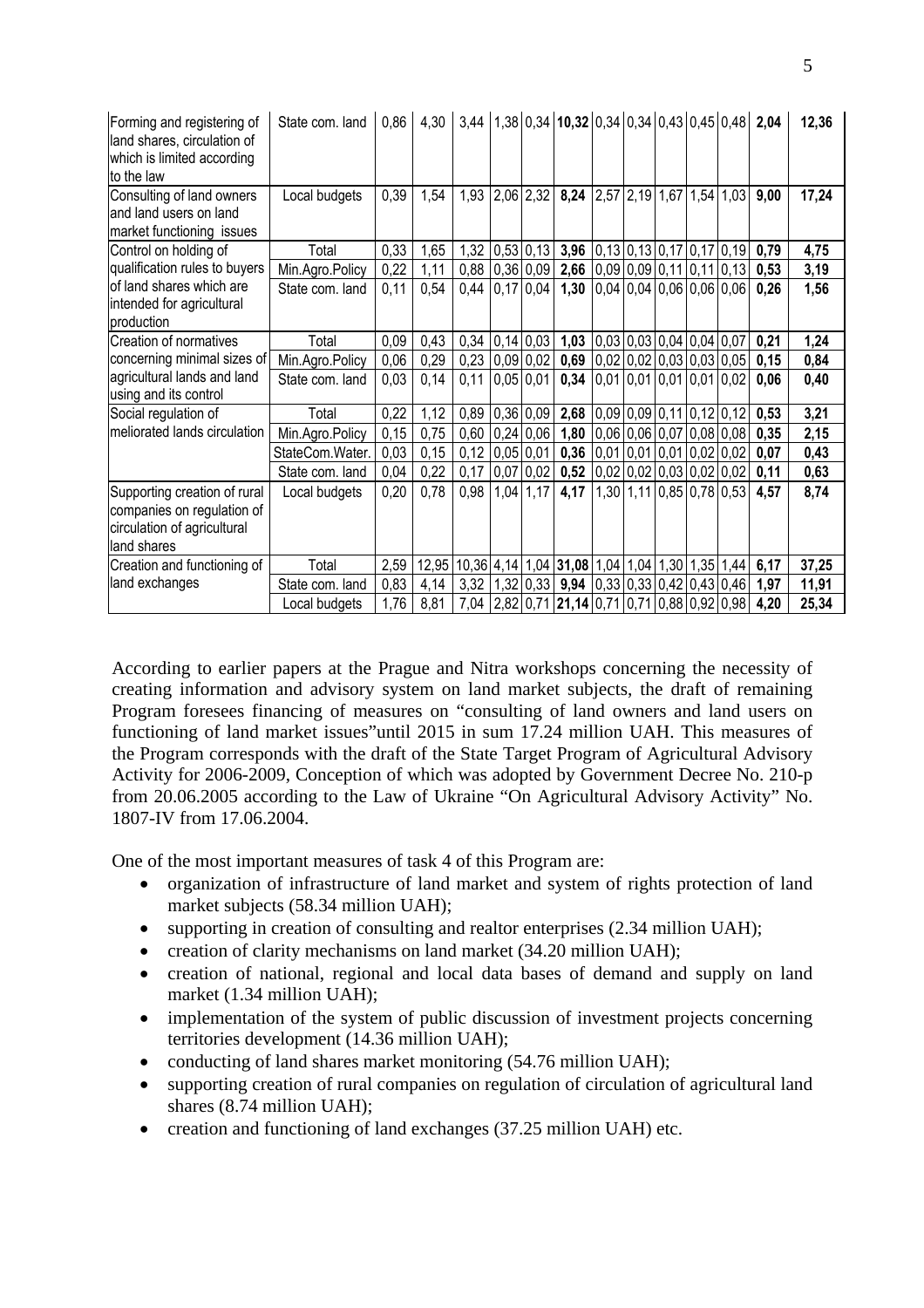| Forming and registering of<br>land shares, circulation of<br>which is limited according<br>to the law    | State com. land | 0,86 | 4,30                                                                          |                  |                | $3,44$   1,38   0,34   10,32   0,34   0,34   0,43   0,45   0,48   2,04     |                            |  |                            |      | 12,36 |
|----------------------------------------------------------------------------------------------------------|-----------------|------|-------------------------------------------------------------------------------|------------------|----------------|----------------------------------------------------------------------------|----------------------------|--|----------------------------|------|-------|
| Consulting of land owners<br>and land users on land<br>market functioning issues                         | Local budgets   | 0,39 | 1,54                                                                          | 1,93             | $2,06$ 2,32    | 8,24 2,57 2,19 1,67 1,54 1,03                                              |                            |  |                            | 9,00 | 17,24 |
| Control on holding of                                                                                    | Total           | 0,33 | 1,65                                                                          |                  |                | 1,32 0,53 0,13 3,96 0,13 0,13 0,17 0,17 0,19                               |                            |  |                            | 0,79 | 4,75  |
| qualification rules to buyers                                                                            | Min.Agro.Policy | 0,22 | 1,11                                                                          |                  |                | $0,88$   0,36   0,09   2,66   0,09   0,09   0,11   0,11   0,13             |                            |  |                            | 0,53 | 3,19  |
| of land shares which are<br>intended for agricultural<br>production                                      | State com, land | 0,11 | 0,54                                                                          | 0,44             | $0,17$ 0,04    | 1,30                                                                       |                            |  | $0,04$ 0,04 0,06 0,06 0,06 | 0,26 | 1,56  |
| Creation of normatives                                                                                   | Total           | 0,09 | 0,43                                                                          | $0,34$ 0,14 0,03 |                | 1,03                                                                       | $0.03$ 0.03 0.04 0.04 0.07 |  |                            | 0,21 | 1,24  |
| concerning minimal sizes of                                                                              | Min.Agro.Policy | 0,06 | 0,29                                                                          | $0,23$ 0.09 0.02 |                | $0,69$   0,02   0,02   0,03   0,03   0,05                                  |                            |  |                            | 0,15 | 0,84  |
| agricultural lands and land<br>using and its control                                                     | State com. land | 0,03 | 0,14                                                                          | 0,11             | $0.05 \, 0.01$ | $0,34$   0,01   0,01   0,01   0,01   0,02                                  |                            |  |                            | 0,06 | 0,40  |
| Social regulation of                                                                                     | Total           | 0,22 | 1,12                                                                          | 0,89             | $0,36$ $0,09$  | <b>2,68</b> $\big  0.09 \big  0.09 \big  0.11 \big  0.12 \big  0.12 \big $ |                            |  |                            | 0,53 | 3,21  |
| meliorated lands circulation                                                                             | Min.Agro.Policy | 0,15 | 0,75                                                                          | $0,60$ 0.24 0.06 |                | $1,80$   0,06   0,06   0,07   0,08   0,08                                  |                            |  |                            | 0,35 | 2,15  |
|                                                                                                          | StateCom.Water. | 0,03 | 0,15                                                                          | $0,12$ 0,05 0,01 |                | $0,36$   0,01   0,01   0,01   0,02   0,02                                  |                            |  |                            | 0,07 | 0,43  |
|                                                                                                          | State com. land | 0,04 | 0,22                                                                          | 0,17             | 0,07 0,02      | $0,52$   0,02   0,02   0,03   0,02   0,02                                  |                            |  |                            | 0,11 | 0,63  |
| Supporting creation of rural<br>companies on regulation of<br>circulation of agricultural<br>land shares | Local budgets   | 0,20 | 0,78                                                                          | 0,98             | $1,04$ 1,17    | 4,17                                                                       |                            |  | 1,30 1,11 0,85 0,78 0,53   | 4,57 | 8,74  |
| Creation and functioning of                                                                              | Total           |      | 2,59   12,95   10,36   4,14   1,04   31,08   1,04   1,04   1,30   1,35   1,44 |                  |                |                                                                            |                            |  |                            | 6,17 | 37,25 |
| land exchanges                                                                                           | State com. land | 0,83 | 4,14                                                                          |                  |                | $3,32$   1,32   0,33   9,94   0,33   0,33   0,42   0,43   0,46             |                            |  |                            | 1,97 | 11,91 |
|                                                                                                          | Local budgets   | 1,76 | 8,81                                                                          |                  |                | 7,04   2,82   0,71   21,14   0,71   0,71   0,88   0,92   0,98   4,20       |                            |  |                            |      | 25,34 |

According to earlier papers at the Prague and Nitra workshops concerning the necessity of creating information and advisory system on land market subjects, the draft of remaining Program foresees financing of measures on "consulting of land owners and land users on functioning of land market issues"until 2015 in sum 17.24 million UAH. This measures of the Program corresponds with the draft of the State Target Program of Agricultural Advisory Activity for 2006-2009, Conception of which was adopted by Government Decree No. 210-p from 20.06.2005 according to the Law of Ukraine "On Agricultural Advisory Activity" No. 1807-IV from 17.06.2004.

One of the most important measures of task 4 of this Program are:

- organization of infrastructure of land market and system of rights protection of land market subjects (58.34 million UAH);
- supporting in creation of consulting and realtor enterprises (2.34 million UAH);
- creation of clarity mechanisms on land market (34.20 million UAH);
- creation of national, regional and local data bases of demand and supply on land market (1.34 million UAH);
- implementation of the system of public discussion of investment projects concerning territories development (14.36 million UAH);
- conducting of land shares market monitoring (54.76 million UAH);
- supporting creation of rural companies on regulation of circulation of agricultural land shares (8.74 million UAH);
- creation and functioning of land exchanges (37.25 million UAH) etc.